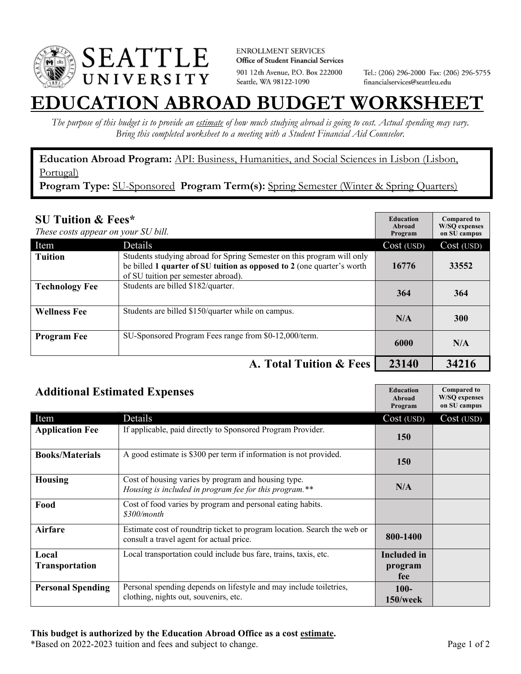

**ENROLLMENT SERVICES** Office of Student Financial Services 901 12th Avenue, P.O. Box 222000 Seattle, WA 98122-1090

Tel.: (206) 296-2000 Fax: (206) 296-5755 financialservices@seattleu.edu

## **EATION ABROAD BUDGET WORKSHEI**

*The purpose of this budget is to provide an estimate of how much studying abroad is going to cost. Actual spending may vary. Bring this completed worksheet to a meeting with a Student Financial Aid Counselor.* 

**Education Abroad Program:** API: Business, Humanities, and Social Sciences in Lisbon (Lisbon, Portugal)

Program Type: SU-Sponsored Program Term(s): Spring Semester (Winter & Spring Quarters)

| <b>SU Tuition &amp; Fees*</b><br>These costs appear on your SU bill. |                                                                                                                                                                                         | <b>Education</b><br>Abroad<br>Program | <b>Compared to</b><br><b>W/SO</b> expenses<br>on SU campus |
|----------------------------------------------------------------------|-----------------------------------------------------------------------------------------------------------------------------------------------------------------------------------------|---------------------------------------|------------------------------------------------------------|
| Item                                                                 | Details                                                                                                                                                                                 | Cost (USD)                            | Cost (USD)                                                 |
| <b>Tuition</b>                                                       | Students studying abroad for Spring Semester on this program will only<br>be billed 1 quarter of SU tuition as opposed to 2 (one quarter's worth<br>of SU tuition per semester abroad). | 16776                                 | 33552                                                      |
| <b>Technology Fee</b>                                                | Students are billed \$182/quarter.                                                                                                                                                      | 364                                   | 364                                                        |
| <b>Wellness Fee</b>                                                  | Students are billed \$150/quarter while on campus.                                                                                                                                      | N/A                                   | <b>300</b>                                                 |
| <b>Program Fee</b>                                                   | SU-Sponsored Program Fees range from \$0-12,000/term.                                                                                                                                   | 6000                                  | N/A                                                        |
|                                                                      | A. Total Tuition & Fees                                                                                                                                                                 | 23140                                 | 34216                                                      |

| <b>Additional Estimated Expenses</b> |                                                                                                                      | <b>Education</b><br>Abroad<br>Program | <b>Compared to</b><br><b>W/SQ</b> expenses<br>on SU campus |
|--------------------------------------|----------------------------------------------------------------------------------------------------------------------|---------------------------------------|------------------------------------------------------------|
| Item                                 | Details                                                                                                              | Cost (USD)                            | Cost (USD)                                                 |
| <b>Application Fee</b>               | If applicable, paid directly to Sponsored Program Provider.                                                          | 150                                   |                                                            |
| <b>Books/Materials</b>               | A good estimate is \$300 per term if information is not provided.                                                    | <b>150</b>                            |                                                            |
| <b>Housing</b>                       | Cost of housing varies by program and housing type.<br>Housing is included in program fee for this program.**        | N/A                                   |                                                            |
| Food                                 | Cost of food varies by program and personal eating habits.<br>\$300/month                                            |                                       |                                                            |
| <b>Airfare</b>                       | Estimate cost of roundtrip ticket to program location. Search the web or<br>consult a travel agent for actual price. | 800-1400                              |                                                            |
| Local                                | Local transportation could include bus fare, trains, taxis, etc.                                                     | Included in                           |                                                            |
| Transportation                       |                                                                                                                      | program<br>fee                        |                                                            |
| <b>Personal Spending</b>             | Personal spending depends on lifestyle and may include toiletries,<br>clothing, nights out, souvenirs, etc.          | $100 -$<br>$150$ /week                |                                                            |

\*Based on 2022-2023 tuition and fees and subject to change. Page 1 of 2